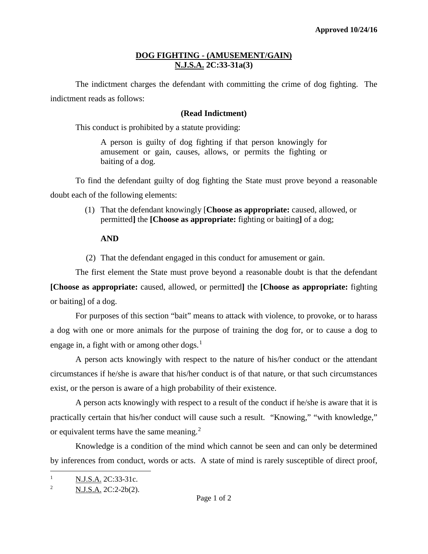## **DOG FIGHTING - (AMUSEMENT/GAIN) N.J.S.A. 2C:33-31a(3)**

The indictment charges the defendant with committing the crime of dog fighting. The indictment reads as follows:

## **(Read Indictment)**

This conduct is prohibited by a statute providing:

A person is guilty of dog fighting if that person knowingly for amusement or gain, causes, allows, or permits the fighting or baiting of a dog.

To find the defendant guilty of dog fighting the State must prove beyond a reasonable doubt each of the following elements:

> (1) That the defendant knowingly [**Choose as appropriate:** caused, allowed, or permitted**]** the **[Choose as appropriate:** fighting or baiting**]** of a dog;

## **AND**

(2) That the defendant engaged in this conduct for amusement or gain.

The first element the State must prove beyond a reasonable doubt is that the defendant **[Choose as appropriate:** caused, allowed, or permitted**]** the **[Choose as appropriate:** fighting or baiting] of a dog.

For purposes of this section "bait" means to attack with violence, to provoke, or to harass a dog with one or more animals for the purpose of training the dog for, or to cause a dog to engage in, a fight with or among other dogs. $<sup>1</sup>$  $<sup>1</sup>$  $<sup>1</sup>$ </sup>

A person acts knowingly with respect to the nature of his/her conduct or the attendant circumstances if he/she is aware that his/her conduct is of that nature, or that such circumstances exist, or the person is aware of a high probability of their existence.

A person acts knowingly with respect to a result of the conduct if he/she is aware that it is practically certain that his/her conduct will cause such a result. "Knowing," "with knowledge," or equivalent terms have the same meaning.<sup>[2](#page-0-1)</sup>

Knowledge is a condition of the mind which cannot be seen and can only be determined by inferences from conduct, words or acts. A state of mind is rarely susceptible of direct proof,

<span id="page-0-0"></span> $\mathbf{1}$ N.J.S.A. 2C:33-31c.

<span id="page-0-1"></span><sup>&</sup>lt;sup>2</sup> N.J.S.A. 2C:2-2b(2).